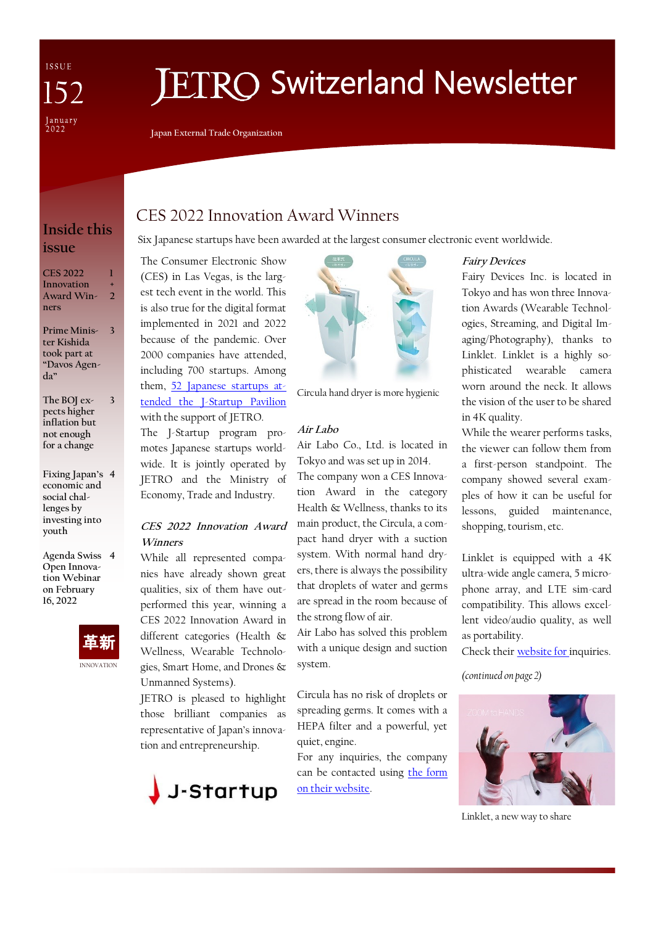ISSUE January<br>2022

# **ETRO Switzerland Newsletter**

**Japan External Trade Organization**

# **Inside this issue**

| CES 2022   |   |
|------------|---|
| Innovation |   |
| Award Win- | " |
| ners       |   |

**Prime Minis-3 ter Kishida took part at "Davos Agenda"**

- **The BOJ expects higher inflation but not enough for a change 3**
- **Fixing Japan's 4 economic and social challenges by investing into youth**

**Agenda Swiss 4 Open Innovation Webinar on February 16, 2022** 



# CES 2022 Innovation Award Winners

Six Japanese startups have been awarded at the largest consumer electronic event worldwide.

The Consumer Electronic Show (CES) in Las Vegas, is the largest tech event in the world. This is also true for the digital format implemented in 2021 and 2022 because of the pandemic. Over 2000 companies have attended, including 700 startups. Among them, [52 Japanese startups at](https://www.jetro.go.jp/en/news/announcement/2021/514e0d5ff75effc0.html)[tended the J-Startup Pavilion](https://www.jetro.go.jp/en/news/announcement/2021/514e0d5ff75effc0.html) with the support of JETRO. The J-Startup program promotes Japanese startups world-

wide. It is jointly operated by JETRO and the Ministry of Economy, Trade and Industry.

## **CES 2022 Innovation Award Winners**

While all represented companies have already shown great qualities, six of them have outperformed this year, winning a CES 2022 Innovation Award in different categories (Health & Wellness, Wearable Technologies, Smart Home, and Drones & Unmanned Systems).

JETRO is pleased to highlight those brilliant companies as representative of Japan's innovation and entrepreneurship.





Circula hand dryer is more hygienic

## **Air Labo**

Air Labo Co., Ltd. is located in Tokyo and was set up in 2014.

The company won a CES Innovation Award in the category Health & Wellness, thanks to its main product, the Circula, a compact hand dryer with a suction system. With normal hand dryers, there is always the possibility that droplets of water and germs are spread in the room because of the strong flow of air.

Air Labo has solved this problem with a unique design and suction system.

Circula has no risk of droplets or spreading germs. It comes with a HEPA filter and a powerful, yet quiet, engine.

For any inquiries, the company can be contacted using the form [on their website.](https://airlabo.net/contact/)

## **Fairy Devices**

Fairy Devices Inc. is located in Tokyo and has won three Innovation Awards (Wearable Technologies, Streaming, and Digital Imaging/Photography), thanks to Linklet. Linklet is a highly sophisticated wearable camera worn around the neck. It allows the vision of the user to be shared in 4K quality.

While the wearer performs tasks, the viewer can follow them from a first-person standpoint. The company showed several examples of how it can be useful for lessons, guided maintenance, shopping, tourism, etc.

Linklet is equipped with a 4K ultra-wide angle camera, 5 microphone array, and LTE sim-card compatibility. This allows excellent video/audio quality, as well as portability.

Check their [website for i](https://fairydevices.jp/en#61c5954d4b1f494c2be067d7-82dc470cddea06b051db9175)nquiries.

*(continued on page 2)*



Linklet, a new way to share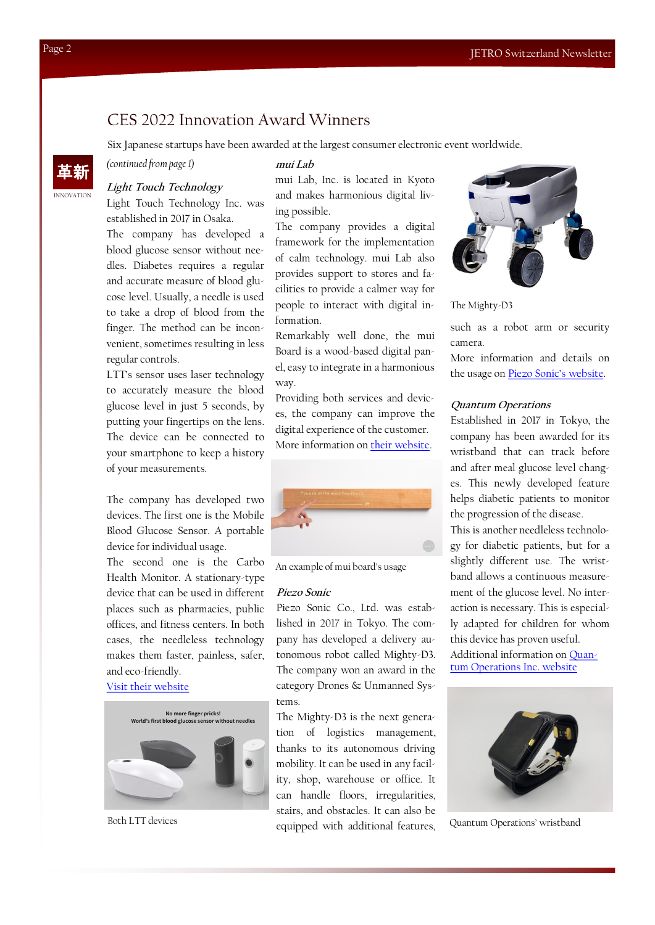## CES 2022 Innovation Award Winners

Six Japanese startups have been awarded at the largest consumer electronic event worldwide.

*(continued from page 1)*

#### **Light Touch Technology**

Light Touch Technology Inc. was established in 2017 in Osaka.

The company has developed a blood glucose sensor without needles. Diabetes requires a regular and accurate measure of blood glucose level. Usually, a needle is used to take a drop of blood from the finger. The method can be inconvenient, sometimes resulting in less regular controls.

LTT's sensor uses laser technology to accurately measure the blood glucose level in just 5 seconds, by putting your fingertips on the lens. The device can be connected to your smartphone to keep a history of your measurements.

The company has developed two devices. The first one is the Mobile Blood Glucose Sensor. A portable device for individual usage.

The second one is the Carbo Health Monitor. A stationary-type device that can be used in different places such as pharmacies, public offices, and fitness centers. In both cases, the needleless technology makes them faster, painless, safer, and eco-friendly.

### [Visit their website](http://www.light-tt.co.jp/?lang=en)



Both LTT devices

**mui Lab**

mui Lab, Inc. is located in Kyoto and makes harmonious digital living possible.

The company provides a digital framework for the implementation of calm technology. mui Lab also provides support to stores and facilities to provide a calmer way for people to interact with digital information.

Remarkably well done, the mui Board is a wood-based digital panel, easy to integrate in a harmonious way.

Providing both services and devices, the company can improve the digital experience of the customer. More information on [their website.](https://muilab.com/en/services/)



An example of mui board's usage

#### **Piezo Sonic**

Piezo Sonic Co., Ltd. was established in 2017 in Tokyo. The company has developed a delivery autonomous robot called Mighty-D3. The company won an award in the category Drones & Unmanned Systems.

The Mighty-D3 is the next generation of logistics management, thanks to its autonomous driving mobility. It can be used in any facility, shop, warehouse or office. It can handle floors, irregularities, stairs, and obstacles. It can also be equipped with additional features,



The Mighty-D3

such as a robot arm or security camera.

More information and details on the usage on [Piezo Sonic's website](https://piezo-sonic.co.jp/products).

#### **Quantum Operations**

Established in 2017 in Tokyo, the company has been awarded for its wristband that can track before and after meal glucose level changes. This newly developed feature helps diabetic patients to monitor the progression of the disease.

This is another needleless technology for diabetic patients, but for a slightly different use. The wristband allows a continuous measurement of the glucose level. No interaction is necessary. This is especially adapted for children for whom this device has proven useful. Additional information on [Quan](https://quantum-op.co.jp/en)[tum Operations Inc. website](https://quantum-op.co.jp/en)



Quantum Operations' wristband

INNOVATION 革新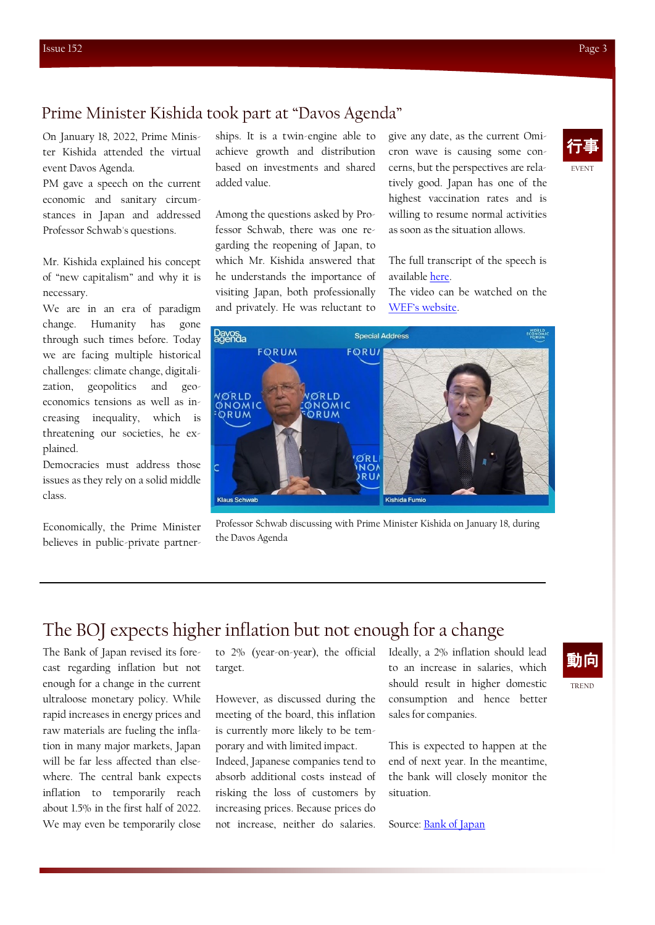# Prime Minister Kishida took part at "Davos Agenda"

On January 18, 2022, Prime Minister Kishida attended the virtual event Davos Agenda.

PM gave a speech on the current economic and sanitary circumstances in Japan and addressed Professor Schwab's questions.

Mr. Kishida explained his concept of "new capitalism" and why it is necessary.

We are in an era of paradigm change. Humanity has gone through such times before. Today we are facing multiple historical challenges: climate change, digitalization, geopolitics and geoeconomics tensions as well as increasing inequality, which is threatening our societies, he explained.

Democracies must address those issues as they rely on a solid middle class.

Economically, the Prime Minister believes in public-private partnerships. It is a twin-engine able to achieve growth and distribution based on investments and shared added value.

Among the questions asked by Professor Schwab, there was one regarding the reopening of Japan, to which Mr. Kishida answered that he understands the importance of visiting Japan, both professionally and privately. He was reluctant to

give any date, as the current Omicron wave is causing some concerns, but the perspectives are relatively good. Japan has one of the highest vaccination rates and is willing to resume normal activities as soon as the situation allows.

The full transcript of the speech is available [here.](https://japan.kantei.go.jp/101_kishida/statement/202201/_00008.html)

The video can be watched on the [WEF's website](https://www.weforum.org/events/the-davos-agenda-2022/sessions/special-address-by-kishida-fumio-prime-minister-of-japan).



Professor Schwab discussing with Prime Minister Kishida on January 18, during the Davos Agenda

# The BOJ expects higher inflation but not enough for a change

The Bank of Japan revised its forecast regarding inflation but not enough for a change in the current ultraloose monetary policy. While rapid increases in energy prices and raw materials are fueling the inflation in many major markets, Japan will be far less affected than elsewhere. The central bank expects inflation to temporarily reach about 1.5% in the first half of 2022. We may even be temporarily close

to 2% (year-on-year), the official target.

However, as discussed during the meeting of the board, this inflation is currently more likely to be temporary and with limited impact.

Indeed, Japanese companies tend to absorb additional costs instead of risking the loss of customers by increasing prices. Because prices do not increase, neither do salaries.

Ideally, a 2% inflation should lead to an increase in salaries, which should result in higher domestic consumption and hence better sales for companies.

This is expected to happen at the end of next year. In the meantime, the bank will closely monitor the situation.

Source: **Bank of Japan** 



EVENT 行事